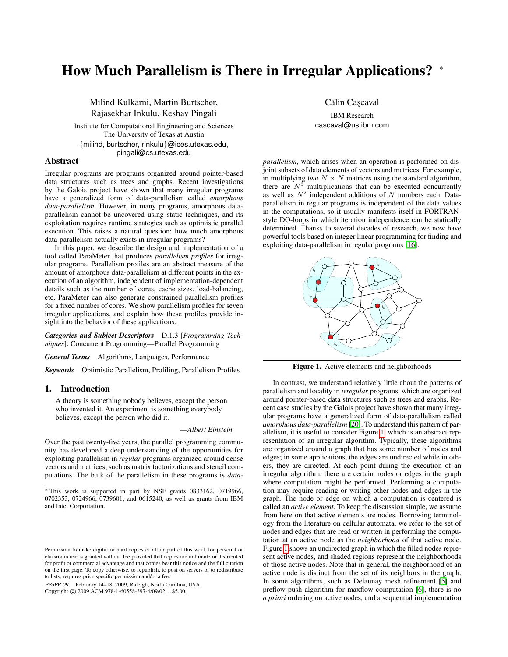# How Much Parallelism is There in Irregular Applications? <sup>∗</sup>

Milind Kulkarni, Martin Burtscher, Rajasekhar Inkulu, Keshav Pingali

Institute for Computational Engineering and Sciences The University of Texas at Austin {milind, burtscher, rinkulu}@ices.utexas.edu, pingali@cs.utexas.edu

## Abstract

Irregular programs are programs organized around pointer-based data structures such as trees and graphs. Recent investigations by the Galois project have shown that many irregular programs have a generalized form of data-parallelism called *amorphous data-parallelism*. However, in many programs, amorphous dataparallelism cannot be uncovered using static techniques, and its exploitation requires runtime strategies such as optimistic parallel execution. This raises a natural question: how much amorphous data-parallelism actually exists in irregular programs?

In this paper, we describe the design and implementation of a tool called ParaMeter that produces *parallelism profiles* for irregular programs. Parallelism profiles are an abstract measure of the amount of amorphous data-parallelism at different points in the execution of an algorithm, independent of implementation-dependent details such as the number of cores, cache sizes, load-balancing, etc. ParaMeter can also generate constrained parallelism profiles for a fixed number of cores. We show parallelism profiles for seven irregular applications, and explain how these profiles provide insight into the behavior of these applications.

*Categories and Subject Descriptors* D.1.3 [*Programming Techniques*]: Concurrent Programming—Parallel Programming

*General Terms* Algorithms, Languages, Performance

*Keywords* Optimistic Parallelism, Profiling, Parallelism Profiles

# 1. Introduction

A theory is something nobody believes, except the person who invented it. An experiment is something everybody believes, except the person who did it.

## —*Albert Einstein*

Over the past twenty-five years, the parallel programming community has developed a deep understanding of the opportunities for exploiting parallelism in *regular* programs organized around dense vectors and matrices, such as matrix factorizations and stencil computations. The bulk of the parallelism in these programs is *data-*

PPoPP'09, February 14–18, 2009, Raleigh, North Carolina, USA. Copyright © 2009 ACM 978-1-60558-397-6/09/02... \$5.00.

Călin Cașcaval

IBM Research cascaval@us.ibm.com

*parallelism*, which arises when an operation is performed on disjoint subsets of data elements of vectors and matrices. For example, in multiplying two  $N \times N$  matrices using the standard algorithm, there are  $N^3$  multiplications that can be executed concurrently as well as  $N^2$  independent additions of N numbers each. Dataparallelism in regular programs is independent of the data values in the computations, so it usually manifests itself in FORTRANstyle DO-loops in which iteration independence can be statically determined. Thanks to several decades of research, we now have powerful tools based on integer linear programming for finding and exploiting data-parallelism in regular programs [\[16\]](#page-11-0).



<span id="page-0-0"></span>Figure 1. Active elements and neighborhoods

In contrast, we understand relatively little about the patterns of parallelism and locality in *irregular* programs, which are organized around pointer-based data structures such as trees and graphs. Recent case studies by the Galois project have shown that many irregular programs have a generalized form of data-parallelism called *amorphous data-parallelism* [\[20\]](#page-11-1). To understand this pattern of parallelism, it is useful to consider Figure [1,](#page-0-0) which is an abstract representation of an irregular algorithm. Typically, these algorithms are organized around a graph that has some number of nodes and edges; in some applications, the edges are undirected while in others, they are directed. At each point during the execution of an irregular algorithm, there are certain nodes or edges in the graph where computation might be performed. Performing a computation may require reading or writing other nodes and edges in the graph. The node or edge on which a computation is centered is called an *active element*. To keep the discussion simple, we assume from here on that active elements are nodes. Borrowing terminology from the literature on cellular automata, we refer to the set of nodes and edges that are read or written in performing the computation at an active node as the *neighborhood* of that active node. Figure [1](#page-0-0) shows an undirected graph in which the filled nodes represent active nodes, and shaded regions represent the neighborhoods of those active nodes. Note that in general, the neighborhood of an active node is distinct from the set of its neighbors in the graph. In some algorithms, such as Delaunay mesh refinement [\[5\]](#page-11-2) and preflow-push algorithm for maxflow computation [\[6\]](#page-11-3), there is no *a priori* ordering on active nodes, and a sequential implementation

<sup>∗</sup> This work is supported in part by NSF grants 0833162, 0719966, 0702353, 0724966, 0739601, and 0615240, as well as grants from IBM and Intel Corportation.

Permission to make digital or hard copies of all or part of this work for personal or classroom use is granted without fee provided that copies are not made or distributed for profit or commercial advantage and that copies bear this notice and the full citation on the first page. To copy otherwise, to republish, to post on servers or to redistribute to lists, requires prior specific permission and/or a fee.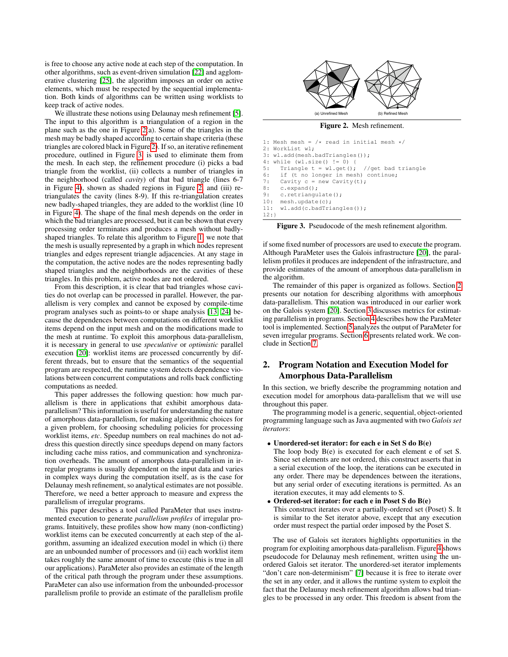is free to choose any active node at each step of the computation. In other algorithms, such as event-driven simulation [\[22\]](#page-11-4) and agglomerative clustering [\[25\]](#page-11-5), the algorithm imposes an order on active elements, which must be respected by the sequential implementation. Both kinds of algorithms can be written using worklists to keep track of active nodes.

We illustrate these notions using Delaunay mesh refinement [\[5\]](#page-11-2). The input to this algorithm is a triangulation of a region in the plane such as the one in Figure [2\(](#page-1-0)a). Some of the triangles in the mesh may be badly shaped according to certain shape criteria (these triangles are colored black in Figure [2\)](#page-1-0). If so, an iterative refinement procedure, outlined in Figure [3,](#page-1-1) is used to eliminate them from the mesh. In each step, the refinement procedure (i) picks a bad triangle from the worklist, (ii) collects a number of triangles in the neighborhood (called *cavity*) of that bad triangle (lines 6-7 in Figure [4\)](#page-2-0), shown as shaded regions in Figure [2,](#page-1-0) and (iii) retriangulates the cavity (lines 8-9). If this re-triangulation creates new badly-shaped triangles, they are added to the worklist (line 10 in Figure [4\)](#page-2-0). The shape of the final mesh depends on the order in which the bad triangles are processed, but it can be shown that every processing order terminates and produces a mesh without badlyshaped triangles. To relate this algorithm to Figure [1,](#page-0-0) we note that the mesh is usually represented by a graph in which nodes represent triangles and edges represent triangle adjacencies. At any stage in the computation, the active nodes are the nodes representing badly shaped triangles and the neighborhoods are the cavities of these triangles. In this problem, active nodes are not ordered.

From this description, it is clear that bad triangles whose cavities do not overlap can be processed in parallel. However, the parallelism is very complex and cannot be exposed by compile-time program analyses such as points-to or shape analysis [\[13,](#page-11-6) [24\]](#page-11-7) because the dependences between computations on different worklist items depend on the input mesh and on the modifications made to the mesh at runtime. To exploit this amorphous data-parallelism, it is necessary in general to use *speculative* or *optimistic* parallel execution [\[20\]](#page-11-1): worklist items are processed concurrently by different threads, but to ensure that the semantics of the sequential program are respected, the runtime system detects dependence violations between concurrent computations and rolls back conflicting computations as needed.

This paper addresses the following question: how much parallelism is there in applications that exhibit amorphous dataparallelism? This information is useful for understanding the nature of amorphous data-parallelism, for making algorithmic choices for a given problem, for choosing scheduling policies for processing worklist items, *etc*. Speedup numbers on real machines do not address this question directly since speedups depend on many factors including cache miss ratios, and communication and synchronization overheads. The amount of amorphous data-parallelism in irregular programs is usually dependent on the input data and varies in complex ways during the computation itself, as is the case for Delaunay mesh refinement, so analytical estimates are not possible. Therefore, we need a better approach to measure and express the parallelism of irregular programs.

This paper describes a tool called ParaMeter that uses instrumented execution to generate *parallelism profiles* of irregular programs. Intuitively, these profiles show how many (non-conflicting) worklist items can be executed concurrently at each step of the algorithm, assuming an idealized execution model in which (i) there are an unbounded number of processors and (ii) each worklist item takes roughly the same amount of time to execute (this is true in all our applications). ParaMeter also provides an estimate of the length of the critical path through the program under these assumptions. ParaMeter can also use information from the unbounded-processor parallelism profile to provide an estimate of the parallelism profile

<span id="page-1-0"></span>

Figure 2. Mesh refinement.

```
1: Mesh mesh = /* read in initial mesh */2: WorkList wl;
3: wl.add(mesh.badTriangles());
4: while (wl.size() != 0) {
5: Triangle t = wl.get(); //get bad triangle
6: if (t no longer in mesh) continue;
7: Cavity c = new Cavity(t);
8: c.expand();<br>9: c.retriangu
     c.retriangulate();
10: mesh.update(c);
11: wl.add(c.badTriangles());
12:}
```
<span id="page-1-1"></span>Figure 3. Pseudocode of the mesh refinement algorithm.

if some fixed number of processors are used to execute the program. Although ParaMeter uses the Galois infrastructure [\[20\]](#page-11-1), the parallelism profiles it produces are independent of the infrastructure, and provide estimates of the amount of amorphous data-parallelism in the algorithm.

The remainder of this paper is organized as follows. Section [2](#page-1-2) presents our notation for describing algorithms with amorphous data-parallelism. This notation was introduced in our earlier work on the Galois system [\[20\]](#page-11-1). Section [3](#page-2-1) discusses metrics for estimating parallelism in programs. Section [4](#page-3-0) describes how the ParaMeter tool is implemented. Section [5](#page-5-0) analyzes the output of ParaMeter for seven irregular programs. Section [6](#page-10-0) presents related work. We conclude in Section [7.](#page-10-1)

# <span id="page-1-2"></span>2. Program Notation and Execution Model for Amorphous Data-Parallelism

In this section, we briefly describe the programming notation and execution model for amorphous data-parallelism that we will use throughout this paper.

The programming model is a generic, sequential, object-oriented programming language such as Java augmented with two *Galois set iterators*:

• Unordered-set iterator: for each e in Set S do B(e)

The loop body B(e) is executed for each element e of set S. Since set elements are not ordered, this construct asserts that in a serial execution of the loop, the iterations can be executed in any order. There may be dependences between the iterations, but any serial order of executing iterations is permitted. As an iteration executes, it may add elements to S.

• Ordered-set iterator: for each e in Poset S do B(e) This construct iterates over a partially-ordered set (Poset) S. It is similar to the Set iterator above, except that any execution order must respect the partial order imposed by the Poset S.

The use of Galois set iterators highlights opportunities in the program for exploiting amorphous data-parallelism. Figure [4](#page-2-0) shows pseudocode for Delaunay mesh refinement, written using the unordered Galois set iterator. The unordered-set iterator implements "don't care non-determinism" [\[7\]](#page-11-8) because it is free to iterate over the set in any order, and it allows the runtime system to exploit the fact that the Delaunay mesh refinement algorithm allows bad triangles to be processed in any order. This freedom is absent from the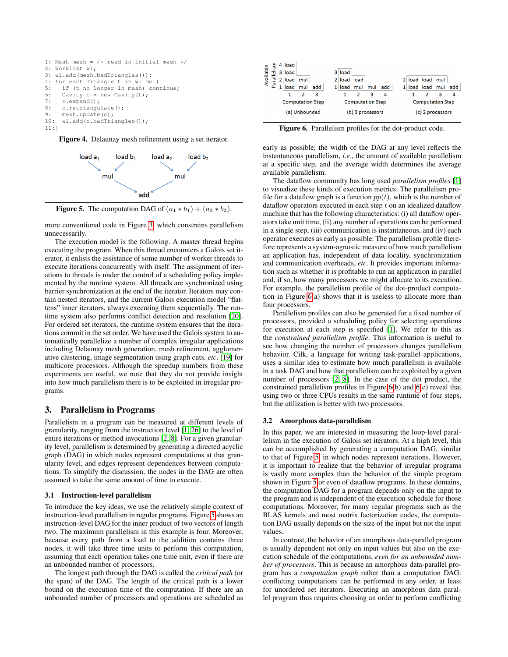



<span id="page-2-0"></span>

<span id="page-2-2"></span>Figure 5. The computation DAG of  $(a_1 * b_1) + (a_2 * b_2)$ .

more conventional code in Figure [3,](#page-1-1) which constrains parallelism unnecessarily.

The execution model is the following. A master thread begins executing the program. When this thread encounters a Galois set iterator, it enlists the assistance of some number of worker threads to execute iterations concurrently with itself. The assignment of iterations to threads is under the control of a scheduling policy implemented by the runtime system. All threads are synchronized using barrier synchronization at the end of the iterator. Iterators may contain nested iterators, and the current Galois execution model "flattens" inner iterators, always executing them sequentially. The runtime system also performs conflict detection and resolution [\[20\]](#page-11-1). For ordered set iterators, the runtime system ensures that the iterations commit in the set order. We have used the Galois system to automatically parallelize a number of complex irregular applications including Delaunay mesh generation, mesh refinement, agglomerative clustering, image segmentation using graph cuts, *etc*. [\[19\]](#page-11-9) for multicore processors. Although the speedup numbers from these experiments are useful, we note that they do not provide insight into how much parallelism there is to be exploited in irregular programs.

## <span id="page-2-1"></span>3. Parallelism in Programs

Parallelism in a program can be measured at different levels of granularity, ranging from the instruction level [\[1,](#page-11-10) [26\]](#page-11-11) to the level of entire iterations or method invocations [\[2,](#page-11-12) [8\]](#page-11-13). For a given granularity level, parallelism is determined by generating a directed acyclic graph (DAG) in which nodes represent computations at that granularity level, and edges represent dependences between computations. To simplify the discussion, the nodes in the DAG are often assumed to take the same amount of time to execute.

## 3.1 Instruction-level parallelism

To introduce the key ideas, we use the relatively simple context of instruction-level parallelism in regular programs. Figure [5](#page-2-2) shows an instruction-level DAG for the inner product of two vectors of length two. The maximum parallelism in this example is four. Moreover, because every path from a load to the addition contains three nodes, it will take three time units to perform this computation, assuming that each operation takes one time unit, even if there are an unbounded number of processors.

The longest path through the DAG is called the *critical path* (or the span) of the DAG. The length of the critical path is a lower bound on the execution time of the computation. If there are an unbounded number of processors and operations are scheduled as

|           |                 | 4 <sup>1</sup> | load     |               |                         |   |        |                         |     |     |  |                         |     |     |
|-----------|-----------------|----------------|----------|---------------|-------------------------|---|--------|-------------------------|-----|-----|--|-------------------------|-----|-----|
|           | <u>ِي</u><br>᠊ᡆ |                | 3 load   |               |                         |   | 3 load |                         |     |     |  |                         |     |     |
| Available | 굔               | $\overline{2}$ | load mul |               |                         | 2 | load   | load                    |     |     |  | load load mul           |     |     |
|           | <b>P</b> a      |                | load     | mul           | add                     |   | load   | mul                     | mul | add |  | load load               | mul | add |
|           |                 |                |          |               | 3                       |   |        |                         | 3   | 4   |  |                         | 3   | 4   |
|           |                 |                |          |               | <b>Computation Step</b> |   |        | <b>Computation Step</b> |     |     |  | <b>Computation Step</b> |     |     |
|           |                 |                |          | (a) Unbounded |                         |   |        | (b) 3 processors        |     |     |  | (c) 2 processors        |     |     |

<span id="page-2-3"></span>Figure 6. Parallelism profiles for the dot-product code.

early as possible, the width of the DAG at any level reflects the instantaneous parallelism, *i.e.*, the amount of available parallelism at a specific step, and the average width determines the average available parallelism.

The dataflow community has long used *parallelism profiles* [\[1\]](#page-11-10) to visualize these kinds of execution metrics. The parallelism profile for a dataflow graph is a function  $pp(t)$ , which is the number of dataflow operators executed in each step  $t$  on an idealized dataflow machine that has the following characteristics: (i) all dataflow operators take unit time, (ii) any number of operations can be performed in a single step, (iii) communication is instantaneous, and (iv) each operator executes as early as possible. The parallelism profile therefore represents a system-agnostic measure of how much parallelism an application has, independent of data locality, synchronization and communication overheads, *etc*. It provides important information such as whether it is profitable to run an application in parallel and, if so, how many processors we might allocate to its execution. For example, the parallelism profile of the dot-product computation in Figure [6\(](#page-2-3)a) shows that it is useless to allocate more than four processors.

Parallelism profiles can also be generated for a fixed number of processors, provided a scheduling policy for selecting operations for execution at each step is specified [\[1\]](#page-11-10). We refer to this as the *constrained parallelism profile*. This information is useful to see how changing the number of processors changes parallelism behavior. Cilk, a language for writing task-parallel applications, uses a similar idea to estimate how much parallelism is available in a task DAG and how that parallelism can be exploited by a given number of processors [\[2,](#page-11-12) [8\]](#page-11-13). In the case of the dot product, the constrained parallelism profiles in Figure [6\(](#page-2-3)b) and [6\(](#page-2-3)c) reveal that using two or three CPUs results in the same runtime of four steps, but the utilization is better with two processors.

## 3.2 Amorphous data-parallelism

In this paper, we are interested in measuring the loop-level parallelism in the execution of Galois set iterators. At a high level, this can be accomplished by generating a computation DAG, similar to that of Figure [5,](#page-2-2) in which nodes represent iterations. However, it is important to realize that the behavior of irregular programs is vastly more complex than the behavior of the simple program shown in Figure [5](#page-2-2) or even of dataflow programs. In these domains, the computation DAG for a program depends only on the input to the program and is independent of the execution schedule for those computations. Moreover, for many regular programs such as the BLAS kernels and most matrix factorization codes, the computation DAG usually depends on the size of the input but not the input values.

In contrast, the behavior of an amorphous data-parallel program is usually dependent not only on input values but also on the execution schedule of the computations, *even for an unbounded number of processors*. This is because an amorphous data-parallel program has a *computation graph* rather than a computation DAG: conflicting computations can be performed in any order, at least for unordered set iterators. Executing an amorphous data parallel program thus requires choosing an order to perform conflicting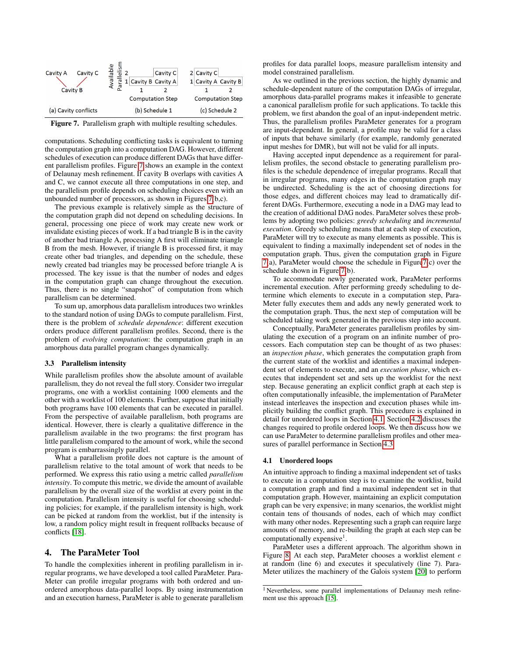| Cavity C<br>Cavity A<br><b>Cavity B</b> | <u>س</u><br>Cavity C<br>ā<br>1 Cavity B Cavity A<br>ŗo<br>ത | 2 Cavity C<br>1 Cavity A Cavity B |
|-----------------------------------------|-------------------------------------------------------------|-----------------------------------|
|                                         | <b>Computation Step</b>                                     | <b>Computation Step</b>           |
| (a) Cavity conflicts                    | (b) Schedule 1                                              | (c) Schedule 2                    |

<span id="page-3-1"></span>Figure 7. Parallelism graph with multiple resulting schedules.

computations. Scheduling conflicting tasks is equivalent to turning the computation graph into a computation DAG. However, different schedules of execution can produce different DAGs that have different parallelism profiles. Figure [7](#page-3-1) shows an example in the context of Delaunay mesh refinement. If cavity B overlaps with cavities A and C, we cannot execute all three computations in one step, and the parallelism profile depends on scheduling choices even with an unbounded number of processors, as shown in Figures [7\(](#page-3-1)b,c).

The previous example is relatively simple as the structure of the computation graph did not depend on scheduling decisions. In general, processing one piece of work may create new work or invalidate existing pieces of work. If a bad triangle B is in the cavity of another bad triangle A, processing A first will eliminate triangle B from the mesh. However, if triangle B is processed first, it may create other bad triangles, and depending on the schedule, these newly created bad triangles may be processed before triangle A is processed. The key issue is that the number of nodes and edges in the computation graph can change throughout the execution. Thus, there is no single "snapshot" of computation from which parallelism can be determined.

To sum up, amorphous data parallelism introduces two wrinkles to the standard notion of using DAGs to compute parallelism. First, there is the problem of *schedule dependence*: different execution orders produce different parallelism profiles. Second, there is the problem of *evolving computation*: the computation graph in an amorphous data parallel program changes dynamically.

### <span id="page-3-3"></span>3.3 Parallelism intensity

While parallelism profiles show the absolute amount of available parallelism, they do not reveal the full story. Consider two irregular programs, one with a worklist containing 1000 elements and the other with a worklist of 100 elements. Further, suppose that initially both programs have 100 elements that can be executed in parallel. From the perspective of available parallelism, both programs are identical. However, there is clearly a qualitative difference in the parallelism available in the two programs: the first program has little parallelism compared to the amount of work, while the second program is embarrassingly parallel.

What a parallelism profile does not capture is the amount of parallelism relative to the total amount of work that needs to be performed. We express this ratio using a metric called *parallelism intensity*. To compute this metric, we divide the amount of available parallelism by the overall size of the worklist at every point in the computation. Parallelism intensity is useful for choosing scheduling policies; for example, if the parallelism intensity is high, work can be picked at random from the worklist, but if the intensity is low, a random policy might result in frequent rollbacks because of conflicts [\[18\]](#page-11-14).

## <span id="page-3-0"></span>4. The ParaMeter Tool

To handle the complexities inherent in profiling parallelism in irregular programs, we have developed a tool called ParaMeter. Para-Meter can profile irregular programs with both ordered and unordered amorphous data-parallel loops. By using instrumentation and an execution harness, ParaMeter is able to generate parallelism profiles for data parallel loops, measure parallelism intensity and model constrained parallelism.

As we outlined in the previous section, the highly dynamic and schedule-dependent nature of the computation DAGs of irregular, amorphous data-parallel programs makes it infeasible to generate a canonical parallelism profile for such applications. To tackle this problem, we first abandon the goal of an input-independent metric. Thus, the parallelism profiles ParaMeter generates for a program are input-dependent. In general, a profile may be valid for a class of inputs that behave similarly (for example, randomly generated input meshes for DMR), but will not be valid for all inputs.

Having accepted input dependence as a requirement for parallelism profiles, the second obstacle to generating parallelism profiles is the schedule dependence of irregular programs. Recall that in irregular programs, many edges in the computation graph may be undirected. Scheduling is the act of choosing directions for those edges, and different choices may lead to dramatically different DAGs. Furthermore, executing a node in a DAG may lead to the creation of additional DAG nodes. ParaMeter solves these problems by adopting two policies: *greedy scheduling* and *incremental execution*. Greedy scheduling means that at each step of execution, ParaMeter will try to execute as many elements as possible. This is equivalent to finding a maximally independent set of nodes in the computation graph. Thus, given the computation graph in Figure [7\(](#page-3-1)a), ParaMeter would choose the schedule in Figur[e7\(](#page-3-1)c) over the schedule shown in Figure [7\(](#page-3-1)b).

To accommodate newly generated work, ParaMeter performs incremental execution. After performing greedy scheduling to determine which elements to execute in a computation step, Para-Meter fully executes them and adds any newly generated work to the computation graph. Thus, the next step of computation will be scheduled taking work generated in the previous step into account.

Conceptually, ParaMeter generates parallelism profiles by simulating the execution of a program on an infinite number of processors. Each computation step can be thought of as two phases: an *inspection phase*, which generates the computation graph from the current state of the worklist and identifies a maximal independent set of elements to execute, and an *execution phase*, which executes that independent set and sets up the worklist for the next step. Because generating an explicit conflict graph at each step is often computationally infeasible, the implementation of ParaMeter instead interleaves the inspection and execution phases while implicitly building the conflict graph. This procedure is explained in detail for unordered loops in Section [4.1.](#page-3-2) Section [4.2](#page-4-0) discusses the changes required to profile ordered loops. We then discuss how we can use ParaMeter to determine parallelism profiles and other measures of parallel performance in Section [4.3.](#page-5-1)

## <span id="page-3-2"></span>4.1 Unordered loops

An intuitive approach to finding a maximal independent set of tasks to execute in a computation step is to examine the worklist, build a computation graph and find a maximal independent set in that computation graph. However, maintaining an explicit computation graph can be very expensive; in many scenarios, the worklist might contain tens of thousands of nodes, each of which may conflict with many other nodes. Representing such a graph can require large amounts of memory, and re-building the graph at each step can be computationally expensive<sup>1</sup>.

ParaMeter uses a different approach. The algorithm shown in Figure [8.](#page-4-1) At each step, ParaMeter chooses a worklist element e at random (line 6) and executes it speculatively (line 7). Para-Meter utilizes the machinery of the Galois system [\[20\]](#page-11-1) to perform

<sup>1</sup> Nevertheless, some parallel implementations of Delaunay mesh refinement use this approach [\[15\]](#page-11-15).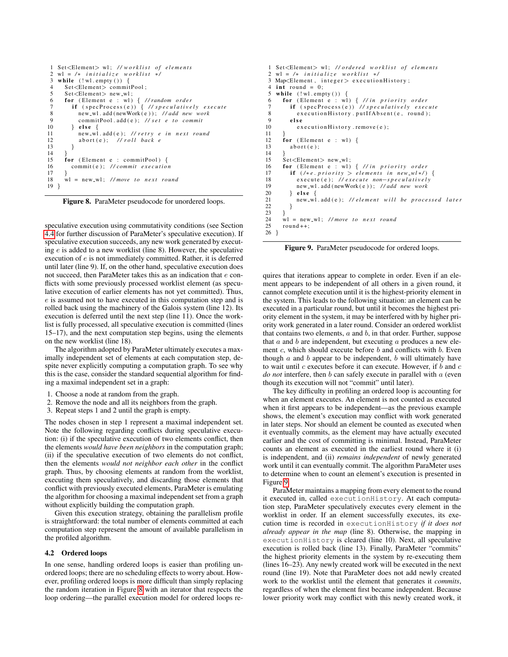```
1 Set<Element> wl; //worklist of elements
 2 wl = /* initialize worklist */<br>3 while (\lbrace w \rbrace .empty()) {
    while (!w1. empty()) {
 4 Set < Element > commitPool;<br>5 Set < Element > new_wl:
 5 Set <Element > new_wl;<br>6 for (Element e : wl)
       for (Element e : wl) { // random order
 7 if (specProcess(e)) { //speculatively execute<br>8 new_wl.add(newWork(e)): //add new work
 8 new_wl.add (newWork (e)); //add new work<br>9 commitPool.add (e): //set e to commit
9 commitPool.add(e); \frac{1}{s} et e to commit<br>10 } else {
10 } else {<br>11 new_wl
11 new_wl.add(e); // retry e in next round<br>12 abort(e): // roll back e
             12 a b o r t ( e ) ; / / r o l l b ack e
13 }
\frac{14}{15}for (Element e : commitPool) {
16 commit(e); //commit execution
\frac{17}{18}w1 = new_w1; //move to next round
19 }
```
<span id="page-4-1"></span>Figure 8. ParaMeter pseudocode for unordered loops.

speculative execution using commutativity conditions (see Section [4.4](#page-5-2) for further discussion of ParaMeter's speculative execution). If speculative execution succeeds, any new work generated by executing  $e$  is added to a new worklist (line 8). However, the speculative execution of e is not immediately committed. Rather, it is deferred until later (line 9). If, on the other hand, speculative execution does not succeed, then ParaMeter takes this as an indication that e conflicts with some previously processed worklist element (as speculative execution of earlier elements has not yet committed). Thus, e is assumed not to have executed in this computation step and is rolled back using the machinery of the Galois system (line 12). Its execution is deferred until the next step (line 11). Once the worklist is fully processed, all speculative execution is committed (lines 15–17), and the next computation step begins, using the elements on the new worklist (line 18).

The algorithm adopted by ParaMeter ultimately executes a maximally independent set of elements at each computation step, despite never explicitly computing a computation graph. To see why this is the case, consider the standard sequential algorithm for finding a maximal independent set in a graph:

- 1. Choose a node at random from the graph.
- 2. Remove the node and all its neighbors from the graph.
- 3. Repeat steps 1 and 2 until the graph is empty.

The nodes chosen in step 1 represent a maximal independent set. Note the following regarding conflicts during speculative execution: (i) if the speculative execution of two elements conflict, then the elements *would have been neighbors* in the computation graph; (ii) if the speculative execution of two elements do not conflict, then the elements *would not neighbor each other* in the conflict graph. Thus, by choosing elements at random from the worklist, executing them speculatively, and discarding those elements that conflict with previously executed elements, ParaMeter is emulating the algorithm for choosing a maximal independent set from a graph without explicitly building the computation graph.

Given this execution strategy, obtaining the parallelism profile is straightforward: the total number of elements committed at each computation step represent the amount of available parallelism in the profiled algorithm.

#### <span id="page-4-0"></span>4.2 Ordered loops

In one sense, handling ordered loops is easier than profiling unordered loops; there are no scheduling effects to worry about. However, profiling ordered loops is more difficult than simply replacing the random iteration in Figure [8](#page-4-1) with an iterator that respects the loop ordering—the parallel execution model for ordered loops re-

```
1 Set<Element> wl; //ordered worklist of elements
 2 wl = /* initialize worklist */<br>3 Map < Element, integer > execution
 3 Map\timesElement, integer > execution History;<br>4 int round = 0.
 4 int round = 0;<br>5 while (!w1.emp5 while (!w1.empty()) {<br>6 for (Element e : wl
  6 for (Element e : wl) { //in priority order<br>7 if (specProcess(e)) //speculatively execute
 8 execution History. put If A b sent (e, round);<br>9 else
\begin{array}{cc} 9 & \text{else} \\ 10 & \text{ex} \end{array}e x e c u t i o n H i s t or y . remove (e);
\frac{11}{12}12 for (Element e : wl) {<br>13 abort(e):
            abort(e);\frac{14}{15}15 Set < Element > new_wl;<br>16 for (Element e : wl)
16 for (Element e : wl) { //in priority order 17 if (\n\{\n\{e, priority > elements in new-w\} \times \n)}17 if (\frac{1}{e}, \frac{1}{e}, \frac{1}{e}) elements in new_wl*/) {<br>18 execute (e): //execute non-speculatively
18 execute (e); // execute non−speculatively<br>19 new_wl.add(newWork(e)); //add new work
19 new_wl.add (newWork (e)); //add new work<br>20 } else {
20 } else<br>21 new_w
                new_wl.add(e); // element will be processed later
\begin{matrix} 22 \\ 23 \end{matrix} }
\frac{23}{24}24 \text{ Wl} = \text{new\_Wl}; //move to next round<br>25 round + +:
        round++:
26 }
```
<span id="page-4-2"></span>Figure 9. ParaMeter pseudocode for ordered loops.

quires that iterations appear to complete in order. Even if an element appears to be independent of all others in a given round, it cannot complete execution until it is the highest-priority element in the system. This leads to the following situation: an element can be executed in a particular round, but until it becomes the highest priority element in the system, it may be interfered with by higher priority work generated in a later round. Consider an ordered worklist that contains two elements,  $a$  and  $b$ , in that order. Further, suppose that  $a$  and  $b$  are independent, but executing  $a$  produces a new element  $c$ , which should execute before  $b$  and conflicts with  $b$ . Even though  $a$  and  $b$  appear to be independent,  $b$  will ultimately have to wait until  $c$  executes before it can execute. However, if  $b$  and  $c$ *do not* interfere, then b can safely execute in parallel with a (even though its execution will not "commit" until later).

The key difficulty in profiling an ordered loop is accounting for when an element executes. An element is not counted as executed when it first appears to be independent—as the previous example shows, the element's execution may conflict with work generated in later steps. Nor should an element be counted as executed when it eventually commits, as the element may have actually executed earlier and the cost of committing is minimal. Instead, ParaMeter counts an element as executed in the earliest round where it (i) is independent, and (ii) *remains independent* of newly generated work until it can eventually commit. The algorithm ParaMeter uses to determine when to count an element's execution is presented in Figure [9.](#page-4-2)

ParaMeter maintains a mapping from every element to the round it executed in, called executionHistory. At each computation step, ParaMeter speculatively executes every element in the worklist in order. If an element successfully executes, its execution time is recorded in executionHistory *if it does not already appear in the map* (line 8). Otherwise, the mapping in executionHistory is cleared (line 10). Next, all speculative execution is rolled back (line 13). Finally, ParaMeter "commits" the highest priority elements in the system by re-executing them (lines 16–23). Any newly created work will be executed in the next round (line 19). Note that ParaMeter does not add newly created work to the worklist until the element that generates it *commits*, regardless of when the element first became independent. Because lower priority work may conflict with this newly created work, it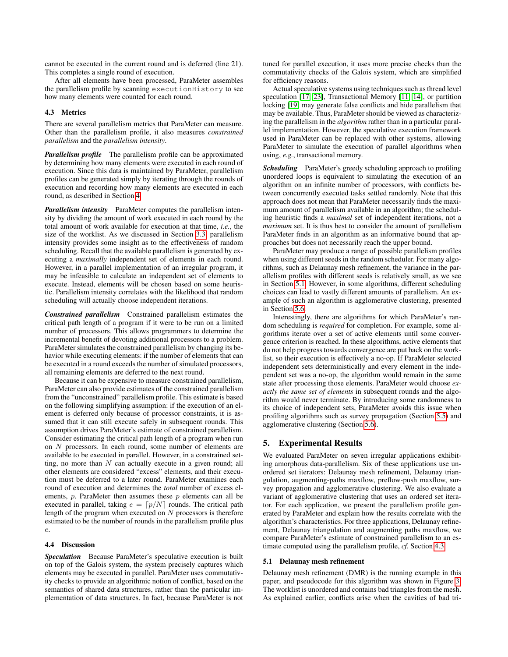cannot be executed in the current round and is deferred (line 21). This completes a single round of execution.

After all elements have been processed, ParaMeter assembles the parallelism profile by scanning executionHistory to see how many elements were counted for each round.

## <span id="page-5-1"></span>4.3 Metrics

There are several parallelism metrics that ParaMeter can measure. Other than the parallelism profile, it also measures *constrained parallelism* and the *parallelism intensity*.

*Parallelism profile* The parallelism profile can be approximated by determining how many elements were executed in each round of execution. Since this data is maintained by ParaMeter, parallelism profiles can be generated simply by iterating through the rounds of execution and recording how many elements are executed in each round, as described in Section [4.](#page-3-0)

*Parallelism intensity* ParaMeter computes the parallelism intensity by dividing the amount of work executed in each round by the total amount of work available for execution at that time, *i.e.*, the size of the worklist. As we discussed in Section [3.3,](#page-3-3) parallelism intensity provides some insight as to the effectiveness of random scheduling. Recall that the available parallelism is generated by executing a *maximally* independent set of elements in each round. However, in a parallel implementation of an irregular program, it may be infeasible to calculate an independent set of elements to execute. Instead, elements will be chosen based on some heuristic. Parallelism intensity correlates with the likelihood that random scheduling will actually choose independent iterations.

<span id="page-5-4"></span>*Constrained parallelism* Constrained parallelism estimates the critical path length of a program if it were to be run on a limited number of processors. This allows programmers to determine the incremental benefit of devoting additional processors to a problem. ParaMeter simulates the constrained parallelism by changing its behavior while executing elements: if the number of elements that can be executed in a round exceeds the number of simulated processors, all remaining elements are deferred to the next round.

Because it can be expensive to measure constrained parallelism, ParaMeter can also provide estimates of the constrained parallelism from the "unconstrained" parallelism profile. This estimate is based on the following simplifying assumption: if the execution of an element is deferred only because of processor constraints, it is assumed that it can still execute safely in subsequent rounds. This assumption drives ParaMeter's estimate of constrained parallelism. Consider estimating the critical path length of a program when run on N processors. In each round, some number of elements are available to be executed in parallel. However, in a constrained setting, no more than  $N$  can actually execute in a given round; all other elements are considered "excess" elements, and their execution must be deferred to a later round. ParaMeter examines each round of execution and determines the *total* number of excess elements,  $p$ . ParaMeter then assumes these  $p$  elements can all be executed in parallel, taking  $e = \lfloor p/N \rfloor$  rounds. The critical path length of the program when executed on N processors is therefore estimated to be the number of rounds in the parallelism profile plus e.

## <span id="page-5-2"></span>4.4 Discussion

*Speculation* Because ParaMeter's speculative execution is built on top of the Galois system, the system precisely captures which elements may be executed in parallel. ParaMeter uses commutativity checks to provide an algorithmic notion of conflict, based on the semantics of shared data structures, rather than the particular implementation of data structures. In fact, because ParaMeter is not tuned for parallel execution, it uses more precise checks than the commutativity checks of the Galois system, which are simplified for efficiency reasons.

Actual speculative systems using techniques such as thread level speculation [\[17,](#page-11-16) [23\]](#page-11-17), Transactional Memory [\[11,](#page-11-18) [14\]](#page-11-19), or partition locking [\[19\]](#page-11-9) may generate false conflicts and hide parallelism that may be available. Thus, ParaMeter should be viewed as characterizing the parallelism in the *algorithm* rather than in a particular parallel implementation. However, the speculative execution framework used in ParaMeter can be replaced with other systems, allowing ParaMeter to simulate the execution of parallel algorithms when using, *e.g.*, transactional memory.

*Scheduling* ParaMeter's greedy scheduling approach to profiling unordered loops is equivalent to simulating the execution of an algorithm on an infinite number of processors, with conflicts between concurrently executed tasks settled randomly. Note that this approach does not mean that ParaMeter necessarily finds the maximum amount of parallelism available in an algorithm; the scheduling heuristic finds a *maximal* set of independent iterations, not a *maximum* set. It is thus best to consider the amount of parallelism ParaMeter finds in an algorithm as an informative bound that approaches but does not necessarily reach the upper bound.

ParaMeter may produce a range of possible parallelism profiles when using different seeds in the random scheduler. For many algorithms, such as Delaunay mesh refinement, the variance in the parallelism profiles with different seeds is relatively small, as we see in Section [5.1.](#page-5-3) However, in some algorithms, different scheduling choices can lead to vastly different amounts of parallelism. An example of such an algorithm is agglomerative clustering, presented in Section [5.6.](#page-8-0)

Interestingly, there are algorithms for which ParaMeter's random scheduling is *required* for completion. For example, some algorithms iterate over a set of active elements until some convergence criterion is reached. In these algorithms, active elements that do not help progress towards convergence are put back on the worklist, so their execution is effectively a no-op. If ParaMeter selected independent sets deterministically and every element in the independent set was a no-op, the algorithm would remain in the same state after processing those elements. ParaMeter would choose *exactly the same set of elements* in subsequent rounds and the algorithm would never terminate. By introducing some randomness to its choice of independent sets, ParaMeter avoids this issue when profiling algorithms such as survey propagation (Section [5.5\)](#page-7-0) and agglomerative clustering (Section [5.6\)](#page-8-0).

## <span id="page-5-0"></span>5. Experimental Results

We evaluated ParaMeter on seven irregular applications exhibiting amorphous data-parallelism. Six of these applications use unordered set iterators: Delaunay mesh refinement, Delaunay triangulation, augmenting-paths maxflow, preflow-push maxflow, survey propagation and agglomerative clustering. We also evaluate a variant of agglomerative clustering that uses an ordered set iterator. For each application, we present the parallelism profile generated by ParaMeter and explain how the results correlate with the algorithm's characteristics. For three applications, Delaunay refinement, Delaunay triangulation and augmenting paths maxflow, we compare ParaMeter's estimate of constrained parallelism to an estimate computed using the parallelism profile, *cf.* Section [4.3.](#page-5-4)

## <span id="page-5-3"></span>5.1 Delaunay mesh refinement

Delaunay mesh refinement (DMR) is the running example in this paper, and pseudocode for this algorithm was shown in Figure [3.](#page-1-1) The worklist is unordered and contains bad triangles from the mesh. As explained earlier, conflicts arise when the cavities of bad tri-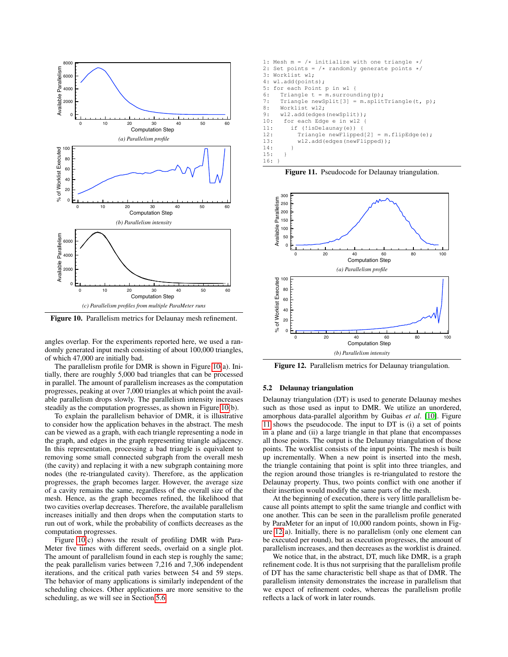

<span id="page-6-0"></span>Figure 10. Parallelism metrics for Delaunay mesh refinement.

angles overlap. For the experiments reported here, we used a randomly generated input mesh consisting of about 100,000 triangles, of which 47,000 are initially bad.

The parallelism profile for DMR is shown in Figure [10\(](#page-6-0)a). Initially, there are roughly 5,000 bad triangles that can be processed in parallel. The amount of parallelism increases as the computation progresses, peaking at over 7,000 triangles at which point the available parallelism drops slowly. The parallelism intensity increases steadily as the computation progresses, as shown in Figure [10\(](#page-6-0)b).

To explain the parallelism behavior of DMR, it is illustrative to consider how the application behaves in the abstract. The mesh can be viewed as a graph, with each triangle representing a node in the graph, and edges in the graph representing triangle adjacency. In this representation, processing a bad triangle is equivalent to removing some small connected subgraph from the overall mesh (the cavity) and replacing it with a new subgraph containing more nodes (the re-triangulated cavity). Therefore, as the application progresses, the graph becomes larger. However, the average size of a cavity remains the same, regardless of the overall size of the mesh. Hence, as the graph becomes refined, the likelihood that two cavities overlap decreases. Therefore, the available parallelism increases initially and then drops when the computation starts to run out of work, while the probability of conflicts decreases as the computation progresses.

Figure [10\(](#page-6-0)c) shows the result of profiling DMR with Para-Meter five times with different seeds, overlaid on a single plot. The amount of parallelism found in each step is roughly the same; the peak parallelism varies between 7,216 and 7,306 independent iterations, and the critical path varies between 54 and 59 steps. The behavior of many applications is similarly independent of the scheduling choices. Other applications are more sensitive to the scheduling, as we will see in Section [5.6.](#page-8-0)

1: Mesh  $m = /*$  initialize with one triangle  $*/$ 2: Set points = /\* randomly generate points \*/<br>3: Worklist wl: Worklist wl; 4: wl.add(points); 5: for each Point p in wl { 6: Triangle  $t = m$ . surrounding (p): 7: Triangle newSplit[3] = m.splitTriangle(t, p); 8: Worklist wl2; 9: wl2.add(edges(newSplit)); 10: for each Edge e in wl2 { 11: if (!isDelaunay(e)) { 12: Triangle newFlipped[2] = m.flipEdge(e); 13: wl2.add(edges(newFlipped));  $14:$ 15: }

<span id="page-6-1"></span>Figure 11. Pseudocode for Delaunay triangulation.



<span id="page-6-2"></span>Figure 12. Parallelism metrics for Delaunay triangulation.

## 5.2 Delaunay triangulation

16: }

Delaunay triangulation (DT) is used to generate Delaunay meshes such as those used as input to DMR. We utilize an unordered, amorphous data-parallel algorithm by Guibas *et al*. [\[10\]](#page-11-20). Figure [11](#page-6-1) shows the pseudocode. The input to DT is (i) a set of points in a plane and (ii) a large triangle in that plane that encompasses all those points. The output is the Delaunay triangulation of those points. The worklist consists of the input points. The mesh is built up incrementally. When a new point is inserted into the mesh, the triangle containing that point is split into three triangles, and the region around those triangles is re-triangulated to restore the Delaunay property. Thus, two points conflict with one another if their insertion would modify the same parts of the mesh.

At the beginning of execution, there is very little parallelism because all points attempt to split the same triangle and conflict with one another. This can be seen in the parallelism profile generated by ParaMeter for an input of 10,000 random points, shown in Figure [12\(](#page-6-2)a). Initially, there is no parallelism (only one element can be executed per round), but as execution progresses, the amount of parallelism increases, and then decreases as the worklist is drained.

We notice that, in the abstract, DT, much like DMR, is a graph refinement code. It is thus not surprising that the parallelism profile of DT has the same characteristic bell shape as that of DMR. The parallelism intensity demonstrates the increase in parallelism that we expect of refinement codes, whereas the parallelism profile reflects a lack of work in later rounds.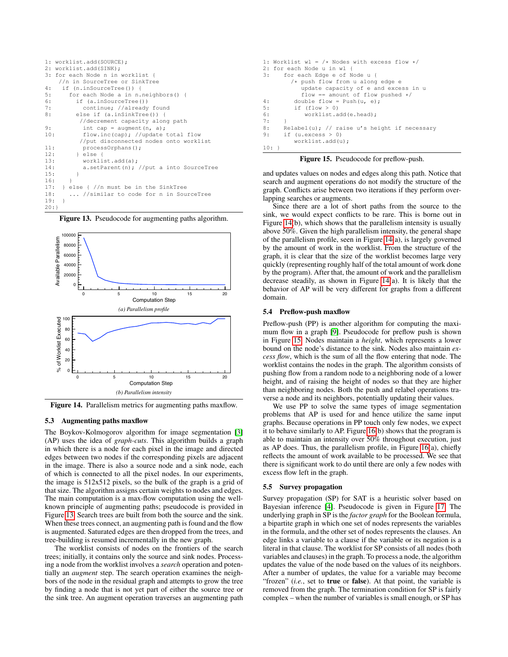|     | 1: worklist.add(SOURCE);                      |
|-----|-----------------------------------------------|
|     | 2: worklist.add(SINK);                        |
|     | 3: for each Node n in worklist {              |
|     | //n in SourceTree or SinkTree                 |
| 4 : | if (n.inSourceTree()) {                       |
| 5:  | for each Node a in n.neighbors() {            |
| 6:  | if (a.inSourceTree())                         |
| 7:  | continue; //already found                     |
| 8:  | else if (a.inSinkTree()) {                    |
|     | //decrement capacity along path               |
| 9:  | int cap = augment $(n, a)$ ;                  |
| 10: | flow.inc(cap); //update total flow            |
|     | //put disconnected nodes onto worklist        |
| 11: | processOrphans();                             |
| 12: | l else f                                      |
| 13: | worklist.add(a);                              |
| 14: | a.setParent(n); $//put$ a into SourceTree     |
| 15: | ł                                             |
| 16: | ł                                             |
|     | 17: $\}$ else { $//n$ must be in the SinkTree |
| 18: | //similar to code for n in SourceTree         |
| 19: | $\left\{ \right.$                             |
| 20: |                                               |

<span id="page-7-1"></span>Figure 13. Pseudocode for augmenting paths algorithm.



<span id="page-7-2"></span>Figure 14. Parallelism metrics for augmenting paths maxflow.

## 5.3 Augmenting paths maxflow

The Boykov-Kolmogorov algorithm for image segmentation [\[3\]](#page-11-21) (AP) uses the idea of *graph-cuts*. This algorithm builds a graph in which there is a node for each pixel in the image and directed edges between two nodes if the corresponding pixels are adjacent in the image. There is also a source node and a sink node, each of which is connected to all the pixel nodes. In our experiments, the image is 512x512 pixels, so the bulk of the graph is a grid of that size. The algorithm assigns certain weights to nodes and edges. The main computation is a max-flow computation using the wellknown principle of augmenting paths; pseudocode is provided in Figure [13.](#page-7-1) Search trees are built from both the source and the sink. When these trees connect, an augmenting path is found and the flow is augmented. Saturated edges are then dropped from the trees, and tree-building is resumed incrementally in the new graph.

The worklist consists of nodes on the frontiers of the search trees; initially, it contains only the source and sink nodes. Processing a node from the worklist involves a *search* operation and potentially an *augment* step. The search operation examines the neighbors of the node in the residual graph and attempts to grow the tree by finding a node that is not yet part of either the source tree or the sink tree. An augment operation traverses an augmenting path

| 1: Worklist wl = $/*$ Nodes with excess flow $*/$    |
|------------------------------------------------------|
| 2: for each Node u in wl {                           |
| for each Edge e of Node u {<br>3:                    |
| $/*$ push flow from u along edge e                   |
| update capacity of e and excess in u                 |
| flow == amount of flow pushed $*/$                   |
| 4:<br>double flow = $Push(u, e)$ ;                   |
| 5:<br>if $(flow > 0)$                                |
| 6:<br>worklist.add(e.head);                          |
| 7:                                                   |
| 8:<br>Relabel(u); $//$ raise u's height if necessary |
| 9:<br>if $(u \cdot e \times c \cdot e \times b)$     |
| worklist.add(u);                                     |
| $10:$ }                                              |
| <b>Figure 15.</b> Pseudocode for preflow-push.       |

<span id="page-7-3"></span>and updates values on nodes and edges along this path. Notice that search and augment operations do not modify the structure of the graph. Conflicts arise between two iterations if they perform overlapping searches or augments.

Since there are a lot of short paths from the source to the sink, we would expect conflicts to be rare. This is borne out in Figure [14\(](#page-7-2)b), which shows that the parallelism intensity is usually above 50%. Given the high parallelism intensity, the general shape of the parallelism profile, seen in Figure [14\(](#page-7-2)a), is largely governed by the amount of work in the worklist. From the structure of the graph, it is clear that the size of the worklist becomes large very quickly (representing roughly half of the total amount of work done by the program). After that, the amount of work and the parallelism decrease steadily, as shown in Figure [14\(](#page-7-2)a). It is likely that the behavior of AP will be very different for graphs from a different domain.

## 5.4 Preflow-push maxflow

Preflow-push (PP) is another algorithm for computing the maximum flow in a graph [\[9\]](#page-11-22). Pseudocode for preflow push is shown in Figure [15.](#page-7-3) Nodes maintain a *height*, which represents a lower bound on the node's distance to the sink. Nodes also maintain *excess flow*, which is the sum of all the flow entering that node. The worklist contains the nodes in the graph. The algorithm consists of pushing flow from a random node to a neighboring node of a lower height, and of raising the height of nodes so that they are higher than neighboring nodes. Both the push and relabel operations traverse a node and its neighbors, potentially updating their values.

We use PP to solve the same types of image segmentation problems that AP is used for and hence utilize the same input graphs. Because operations in PP touch only few nodes, we expect it to behave similarly to AP. Figure [16\(](#page-8-1)b) shows that the program is able to maintain an intensity over 50% throughout execution, just as AP does. Thus, the parallelism profile, in Figure [16\(](#page-8-1)a), chiefly reflects the amount of work available to be processed. We see that there is significant work to do until there are only a few nodes with excess flow left in the graph.

#### <span id="page-7-0"></span>5.5 Survey propagation

Survey propagation (SP) for SAT is a heuristic solver based on Bayesian inference [\[4\]](#page-11-23). Pseudocode is given in Figure [17.](#page-8-2) The underlying graph in SP is the *factor graph* for the Boolean formula, a bipartite graph in which one set of nodes represents the variables in the formula, and the other set of nodes represents the clauses. An edge links a variable to a clause if the variable or its negation is a literal in that clause. The worklist for SP consists of all nodes (both variables and clauses) in the graph. To process a node, the algorithm updates the value of the node based on the values of its neighbors. After a number of updates, the value for a variable may become "frozen" (*i.e.*, set to **true** or **false**). At that point, the variable is removed from the graph. The termination condition for SP is fairly complex – when the number of variables is small enough, or SP has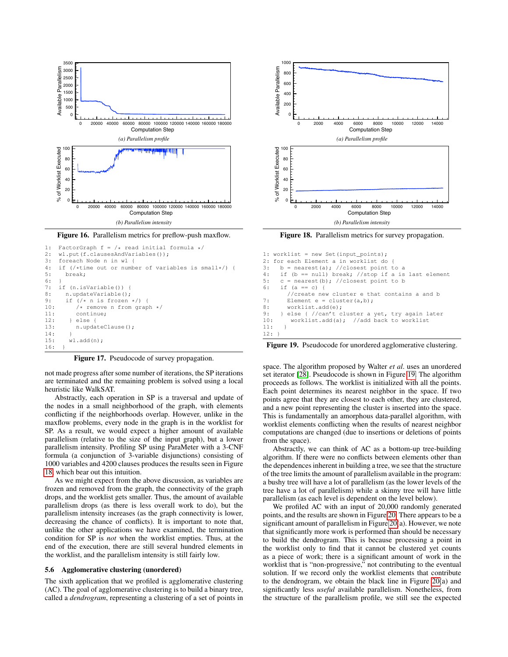

<span id="page-8-1"></span>Figure 16. Parallelism metrics for preflow-push maxflow.

```
1: FactorGraph f = / * read initial formula */ 2: wl.put (f.clausesAndVariables());
2: wl.put(f.clausesAndVariables());<br>3: foreach Node n in wl {
3: foreach Node n in wl {<br>4: if \ell if \ell if \ell if \ell if \ellif (/*time out or number of variables is small*/) {
5: break;
6:7: if (n.isVariable()) {
8: n.updateVariable();
9: if \left(\frac{1}{x} \right) is frozen \frac{x}{1} {
10: /* remove n from graph */<br>11: continue:
            continue:
12: } else {
13: n.updateClause();
14:15: wl.add(n);
16: }
```
<span id="page-8-2"></span>Figure 17. Pseudocode of survey propagation.

not made progress after some number of iterations, the SP iterations are terminated and the remaining problem is solved using a local heuristic like WalkSAT.

Abstractly, each operation in SP is a traversal and update of the nodes in a small neighborhood of the graph, with elements conflicting if the neighborhoods overlap. However, unlike in the maxflow problems, every node in the graph is in the worklist for SP. As a result, we would expect a higher amount of available parallelism (relative to the size of the input graph), but a lower parallelism intensity. Profiling SP using ParaMeter with a 3-CNF formula (a conjunction of 3-variable disjunctions) consisting of 1000 variables and 4200 clauses produces the results seen in Figure [18,](#page-8-3) which bear out this intuition.

As we might expect from the above discussion, as variables are frozen and removed from the graph, the connectivity of the graph drops, and the worklist gets smaller. Thus, the amount of available parallelism drops (as there is less overall work to do), but the parallelism intensity increases (as the graph connectivity is lower, decreasing the chance of conflicts). It is important to note that, unlike the other applications we have examined, the termination condition for SP is *not* when the worklist empties. Thus, at the end of the execution, there are still several hundred elements in the worklist, and the parallelism intensity is still fairly low.

## <span id="page-8-0"></span>5.6 Agglomerative clustering (unordered)

The sixth application that we profiled is agglomerative clustering (AC). The goal of agglomerative clustering is to build a binary tree, called a *dendrogram*, representing a clustering of a set of points in



<span id="page-8-3"></span>Figure 18. Parallelism metrics for survey propagation.

```
1: worklist = new Set(input points);
2: for each Element a in worklist do {<br>3: b = nearest (a): //closest point t
     b = nearest(a); //closest point to a
4: if (b == null) break; //stop if a is last element
5: c = nearest(b); //closest point to b
6: if (a == c) {
        //create new cluster e that contains a and b
7: Element e = cluster(a, b);
8: worklist.add(e);<br>9: } else { //can't c
       else { //can't cluster a yet, try again later
10: worklist.add(a); //add back to worklist
11:12:
```
<span id="page-8-4"></span>Figure 19. Pseudocode for unordered agglomerative clustering.

space. The algorithm proposed by Walter *et al*. uses an unordered set iterator [\[28\]](#page-11-24). Pseudocode is shown in Figure [19.](#page-8-4) The algorithm proceeds as follows. The worklist is initialized with all the points. Each point determines its nearest neighbor in the space. If two points agree that they are closest to each other, they are clustered, and a new point representing the cluster is inserted into the space. This is fundamentally an amorphous data-parallel algorithm, with worklist elements conflicting when the results of nearest neighbor computations are changed (due to insertions or deletions of points from the space).

Abstractly, we can think of AC as a bottom-up tree-building algorithm. If there were no conflicts between elements other than the dependences inherent in building a tree, we see that the structure of the tree limits the amount of parallelism available in the program: a bushy tree will have a lot of parallelism (as the lower levels of the tree have a lot of parallelism) while a skinny tree will have little parallelism (as each level is dependent on the level below).

We profiled AC with an input of 20,000 randomly generated points, and the results are shown in Figure [20.](#page-9-0) There appears to be a significant amount of parallelism in Figure [20\(](#page-9-0)a). However, we note that significantly more work is performed than should be necessary to build the dendrogram. This is because processing a point in the worklist only to find that it cannot be clustered yet counts as a piece of work; there is a significant amount of work in the worklist that is "non-progressive," not contributing to the eventual solution. If we record only the worklist elements that contribute to the dendrogram, we obtain the black line in Figure [20\(](#page-9-0)a) and significantly less *useful* available parallelism. Nonetheless, from the structure of the parallelism profile, we still see the expected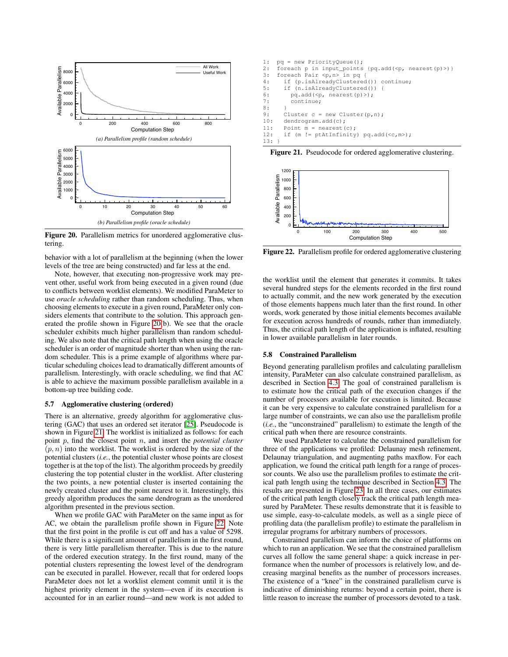

<span id="page-9-0"></span>Figure 20. Parallelism metrics for unordered agglomerative clustering.

behavior with a lot of parallelism at the beginning (when the lower levels of the tree are being constructed) and far less at the end.

Note, however, that executing non-progressive work may prevent other, useful work from being executed in a given round (due to conflicts between worklist elements). We modified ParaMeter to use *oracle scheduling* rather than random scheduling. Thus, when choosing elements to execute in a given round, ParaMeter only considers elements that contribute to the solution. This approach generated the profile shown in Figure [20\(](#page-9-0)b). We see that the oracle scheduler exhibits much higher parallelism than random scheduling. We also note that the critical path length when using the oracle scheduler is an order of magnitude shorter than when using the random scheduler. This is a prime example of algorithms where particular scheduling choices lead to dramatically different amounts of parallelism. Interestingly, with oracle scheduling, we find that AC is able to achieve the maximum possible parallelism available in a bottom-up tree building code.

### 5.7 Agglomerative clustering (ordered)

There is an alternative, greedy algorithm for agglomerative clustering (GAC) that uses an ordered set iterator [\[25\]](#page-11-5). Pseudocode is shown in Figure [21.](#page-9-1) The worklist is initialized as follows: for each point p, find the closest point n, and insert the *potential cluster*  $(p, n)$  into the worklist. The worklist is ordered by the size of the potential clusters (*i.e.*, the potential cluster whose points are closest together is at the top of the list). The algorithm proceeds by greedily clustering the top potential cluster in the worklist. After clustering the two points, a new potential cluster is inserted containing the newly created cluster and the point nearest to it. Interestingly, this greedy algorithm produces the same dendrogram as the unordered algorithm presented in the previous section.

When we profile GAC with ParaMeter on the same input as for AC, we obtain the parallelism profile shown in Figure [22.](#page-9-2) Note that the first point in the profile is cut off and has a value of 5298. While there is a significant amount of parallelism in the first round, there is very little parallelism thereafter. This is due to the nature of the ordered execution strategy. In the first round, many of the potential clusters representing the lowest level of the dendrogram can be executed in parallel. However, recall that for ordered loops ParaMeter does not let a worklist element commit until it is the highest priority element in the system—even if its execution is accounted for in an earlier round—and new work is not added to

```
1: pq = new PriorityQueue();
2: foreach p in input_points {pq.add(\langle p, nearest(p)\rangle)}<br>3: foreach Pair \langle p, n \rangle in pq. {
3: foreach Pair \langle p, n \rangle in pq {<br>4: if (p.isAlreadyClustered
        if (p.isAlreadyClustered()) continue;
5: if (n.isAlreadyClustered())<br>6: pq.add(<p, nearest(p)>);
           6: pq.add(<p, nearest(p)>);
7: continue;
8:9: Cluster c = new Cluster(p,n);
10: dendrogram.add(c);
11: Point m = nearest (c):
12: if (m != ptAtInfinity) pq.add(<c,m>);
13: }
```
<span id="page-9-1"></span>Figure 21. Pseudocode for ordered agglomerative clustering.



<span id="page-9-2"></span>Figure 22. Parallelism profile for ordered agglomerative clustering

the worklist until the element that generates it commits. It takes several hundred steps for the elements recorded in the first round to actually commit, and the new work generated by the execution of those elements happens much later than the first round. In other words, work generated by those initial elements becomes available for execution across hundreds of rounds, rather than immediately. Thus, the critical path length of the application is inflated, resulting in lower available parallelism in later rounds.

## 5.8 Constrained Parallelism

Beyond generating parallelism profiles and calculating parallelism intensity, ParaMeter can also calculate constrained parallelism, as described in Section [4.3.](#page-5-4) The goal of constrained parallelism is to estimate how the critical path of the execution changes if the number of processors available for execution is limited. Because it can be very expensive to calculate constrained parallelism for a large number of constraints, we can also use the parallelism profile (*i.e.*, the "unconstrained" parallelism) to estimate the length of the critical path when there are resource constraints.

We used ParaMeter to calculate the constrained parallelism for three of the applications we profiled: Delaunay mesh refinement, Delaunay triangulation, and augmenting paths maxflow. For each application, we found the critical path length for a range of processor counts. We also use the parallelism profiles to estimate the critical path length using the technique described in Section [4.3.](#page-5-4) The results are presented in Figure [23.](#page-10-2) In all three cases, our estimates of the critical path length closely track the critical path length measured by ParaMeter. These results demonstrate that it is feasible to use simple, easy-to-calculate models, as well as a single piece of profiling data (the parallelism profile) to estimate the parallelism in irregular programs for arbitrary numbers of processors.

Constrained parallelism can inform the choice of platforms on which to run an application. We see that the constrained parallelism curves all follow the same general shape: a quick increase in performance when the number of processors is relatively low, and decreasing marginal benefits as the number of processors increases. The existence of a "knee" in the constrained parallelism curve is indicative of diminishing returns: beyond a certain point, there is little reason to increase the number of processors devoted to a task.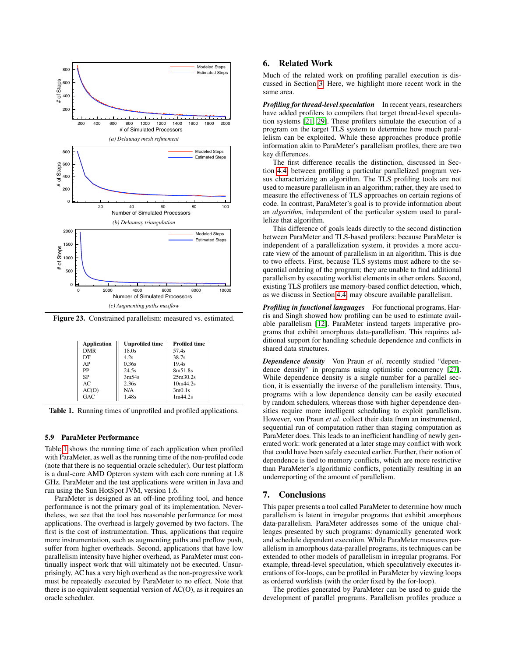

Figure 23. Constrained parallelism: measured vs. estimated.

<span id="page-10-2"></span>

| <b>Application</b> | <b>Unprofiled time</b> | <b>Profiled time</b> |
|--------------------|------------------------|----------------------|
| <b>DMR</b>         | 18.0s                  | 57.4s                |
| DT                 | 4.2s                   | 38.7s                |
| AP                 | 0.36s                  | 19.4s                |
| PP                 | 24.5s                  | 8m51.8s              |
| SP                 | 3m54s                  | 25m30.2s             |
| AC.                | 2.36s                  | 10m44.2s             |
| AC(O)              | N/A                    | 3m0.1s               |
| GAC                | 1.48s                  | 1m44.2s              |

<span id="page-10-3"></span>Table 1. Running times of unprofiled and profiled applications.

### 5.9 ParaMeter Performance

Table [1](#page-10-3) shows the running time of each application when profiled with ParaMeter, as well as the running time of the non-profiled code (note that there is no sequential oracle scheduler). Our test platform is a dual-core AMD Opteron system with each core running at 1.8 GHz. ParaMeter and the test applications were written in Java and run using the Sun HotSpot JVM, version 1.6.

ParaMeter is designed as an off-line profiling tool, and hence performance is not the primary goal of its implementation. Nevertheless, we see that the tool has reasonable performance for most applications. The overhead is largely governed by two factors. The first is the cost of instrumentation. Thus, applications that require more instrumentation, such as augmenting paths and preflow push, suffer from higher overheads. Second, applications that have low parallelism intensity have higher overhead, as ParaMeter must continually inspect work that will ultimately not be executed. Unsurprisingly, AC has a very high overhead as the non-progressive work must be repeatedly executed by ParaMeter to no effect. Note that there is no equivalent sequential version of AC(O), as it requires an oracle scheduler.

# <span id="page-10-0"></span>6. Related Work

Much of the related work on profiling parallel execution is discussed in Section [3.](#page-2-1) Here, we highlight more recent work in the same area.

*Profiling for thread-level speculation* In recent years, researchers have added profilers to compilers that target thread-level speculation systems [\[21,](#page-11-25) [29\]](#page-11-26). These profilers simulate the execution of a program on the target TLS system to determine how much parallelism can be exploited. While these approaches produce profile information akin to ParaMeter's parallelism profiles, there are two key differences.

The first difference recalls the distinction, discussed in Section [4.4,](#page-5-2) between profiling a particular parallelized program versus characterizing an algorithm. The TLS profiling tools are not used to measure parallelism in an algorithm; rather, they are used to measure the effectiveness of TLS approaches on certain regions of code. In contrast, ParaMeter's goal is to provide information about an *algorithm*, independent of the particular system used to parallelize that algorithm.

This difference of goals leads directly to the second distinction between ParaMeter and TLS-based profilers: because ParaMeter is independent of a parallelization system, it provides a more accurate view of the amount of parallelism in an algorithm. This is due to two effects. First, because TLS systems must adhere to the sequential ordering of the program; they are unable to find additional parallelism by executing worklist elements in other orders. Second, existing TLS profilers use memory-based conflict detection, which, as we discuss in Section [4.4,](#page-5-2) may obscure available parallelism.

**Profiling in functional languages** For functional programs, Harris and Singh showed how profiling can be used to estimate available parallelism [\[12\]](#page-11-27). ParaMeter instead targets imperative programs that exhibit amorphous data-parallelism. This requires additional support for handling schedule dependence and conflicts in shared data structures.

*Dependence density* Von Praun *et al*. recently studied "dependence density" in programs using optimistic concurrency [\[27\]](#page-11-28). While dependence density is a single number for a parallel section, it is essentially the inverse of the parallelism intensity. Thus, programs with a low dependence density can be easily executed by random schedulers, whereas those with higher dependence densities require more intelligent scheduling to exploit parallelism. However, von Praun *et al*. collect their data from an instrumented, sequential run of computation rather than staging computation as ParaMeter does. This leads to an inefficient handling of newly generated work: work generated at a later stage may conflict with work that could have been safely executed earlier. Further, their notion of dependence is tied to memory conflicts, which are more restrictive than ParaMeter's algorithmic conflicts, potentially resulting in an underreporting of the amount of parallelism.

## <span id="page-10-1"></span>7. Conclusions

This paper presents a tool called ParaMeter to determine how much parallelism is latent in irregular programs that exhibit amorphous data-parallelism. ParaMeter addresses some of the unique challenges presented by such programs: dynamically generated work and schedule dependent execution. While ParaMeter measures parallelism in amorphous data-parallel programs, its techniques can be extended to other models of parallelism in irregular programs. For example, thread-level speculation, which speculatively executes iterations of for-loops, can be profiled in ParaMeter by viewing loops as ordered worklists (with the order fixed by the for-loop).

The profiles generated by ParaMeter can be used to guide the development of parallel programs. Parallelism profiles produce a